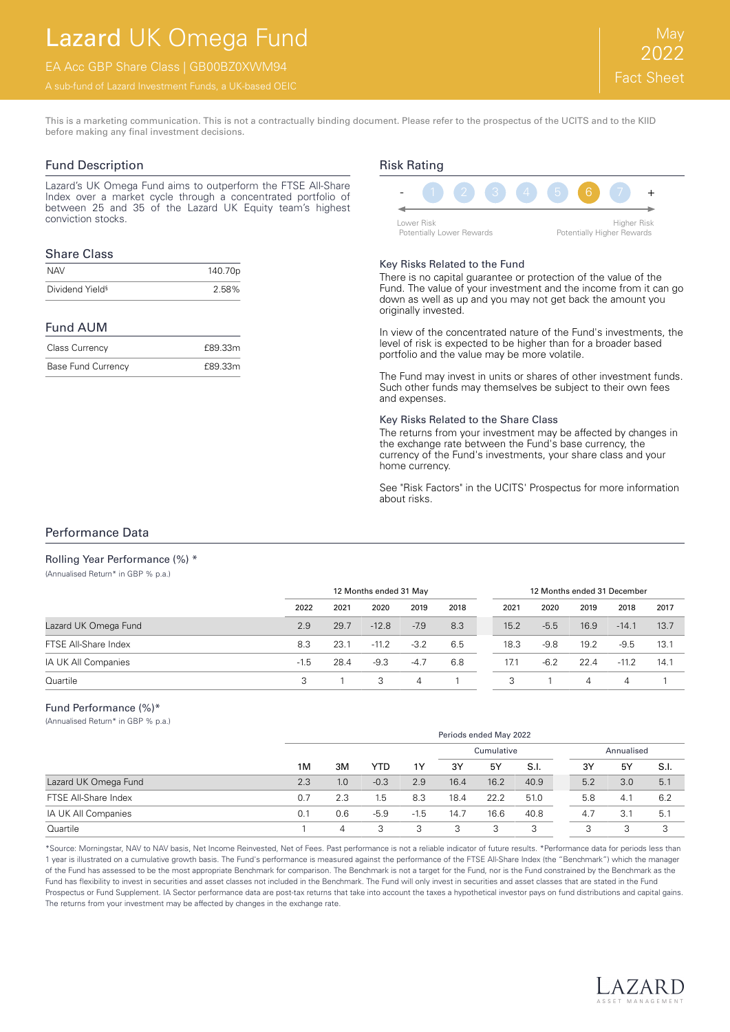# Lazard UK Omega Fund

EA Acc GBP Share Class | GB00BZ0XWM94

This is a marketing communication. This is not a contractually binding document. Please refer to the prospectus of the UCITS and to the KIID before making any final investment decisions.

## Fund Description

Lazard's UK Omega Fund aims to outperform the FTSE All-Share Index over a market cycle through a concentrated portfolio of between 25 and 35 of the Lazard UK Equity team's highest conviction stocks.

### Share Class

| <b>NAV</b>                  | 140.70p |
|-----------------------------|---------|
| Dividend Yield <sup>§</sup> | 2.58%   |

### Fund AUM

| Class Currency            | £89.33m |
|---------------------------|---------|
| <b>Base Fund Currency</b> | £89.33m |

# Risk Rating



#### Key Risks Related to the Fund

There is no capital guarantee or protection of the value of the Fund. The value of your investment and the income from it can go down as well as up and you may not get back the amount you originally invested.

In view of the concentrated nature of the Fund's investments, the level of risk is expected to be higher than for a broader based portfolio and the value may be more volatile.

The Fund may invest in units or shares of other investment funds. Such other funds may themselves be subject to their own fees and expenses.

#### Key Risks Related to the Share Class

The returns from your investment may be affected by changes in the exchange rate between the Fund's base currency, the currency of the Fund's investments, your share class and your home currency.

See "Risk Factors" in the UCITS' Prospectus for more information about risks.

## Performance Data

(Annualised Return\* in GBP % p.a.)

Rolling Year Performance (%) \*

|                      | 12 Months ended 31 May |      |         |                |      |      |        | 12 Months ended 31 December |         |      |
|----------------------|------------------------|------|---------|----------------|------|------|--------|-----------------------------|---------|------|
|                      | 2022                   | 2021 | 2020    | 2019           | 2018 | 2021 | 2020   | 2019                        | 2018    | 2017 |
| Lazard UK Omega Fund | 2.9                    | 29.7 | $-12.8$ | $-7.9$         | 8.3  | 15.2 | $-5.5$ | 16.9                        | $-14.1$ | 13.7 |
| FTSE All-Share Index | 8.3                    | 23.1 | $-11.2$ | $-3.2$         | 6.5  | 18.3 | -9.8   | 19.2                        | $-9.5$  | 13.1 |
| IA UK All Companies  | $-1.5$                 | 28.4 | $-9.3$  | $-4.7$         | 6.8  | 17.1 | $-6.2$ | 22.4                        | $-11.2$ | 14.1 |
| Quartile             | 3                      |      | 3       | $\overline{4}$ |      | 3    |        | 4                           | 4       |      |

#### Fund Performance (%)\*

(Annualised Return\* in GBP % p.a.)

|                      |     | Periods ended May 2022 |        |            |      |      |      |            |     |     |      |
|----------------------|-----|------------------------|--------|------------|------|------|------|------------|-----|-----|------|
|                      |     |                        |        | Cumulative |      |      |      | Annualised |     |     |      |
|                      | 1M  | ЗM                     | YTD    | 1Y         | 3Y   | 5Y   | S.I. | 3Y         |     | 5Y  | S.I. |
| Lazard UK Omega Fund | 2.3 | 1.0                    | $-0.3$ | 2.9        | 16.4 | 16.2 | 40.9 | 5.2        |     | 3.0 | 5.1  |
| FTSE All-Share Index | 0.7 | 2.3                    | 1.5    | 8.3        | 18.4 | 22.2 | 51.0 |            | 5.8 | 4.1 | 6.2  |
| IA UK All Companies  | 0.1 | 0.6                    | $-5.9$ | $-1.5$     | 14.7 | 16.6 | 40.8 | 4.7        |     | 3.1 | 5.7  |
| Quartile             |     | 4                      | 3      | 3          | 3    | 3    | 3    | 3          |     | 3   | 3    |

\*Source: Morningstar, NAV to NAV basis, Net Income Reinvested, Net of Fees. Past performance is not a reliable indicator of future results. \*Performance data for periods less than 1 year is illustrated on a cumulative growth basis. The Fund's performance is measured against the performance of the FTSE All-Share Index (the "Benchmark") which the manager of the Fund has assessed to be the most appropriate Benchmark for comparison. The Benchmark is not a target for the Fund, nor is the Fund constrained by the Benchmark as the Fund has flexibility to invest in securities and asset classes not included in the Benchmark. The Fund will only invest in securities and asset classes that are stated in the Fund Prospectus or Fund Supplement. IA Sector performance data are post-tax returns that take into account the taxes a hypothetical investor pays on fund distributions and capital gains. The returns from your investment may be affected by changes in the exchange rate.

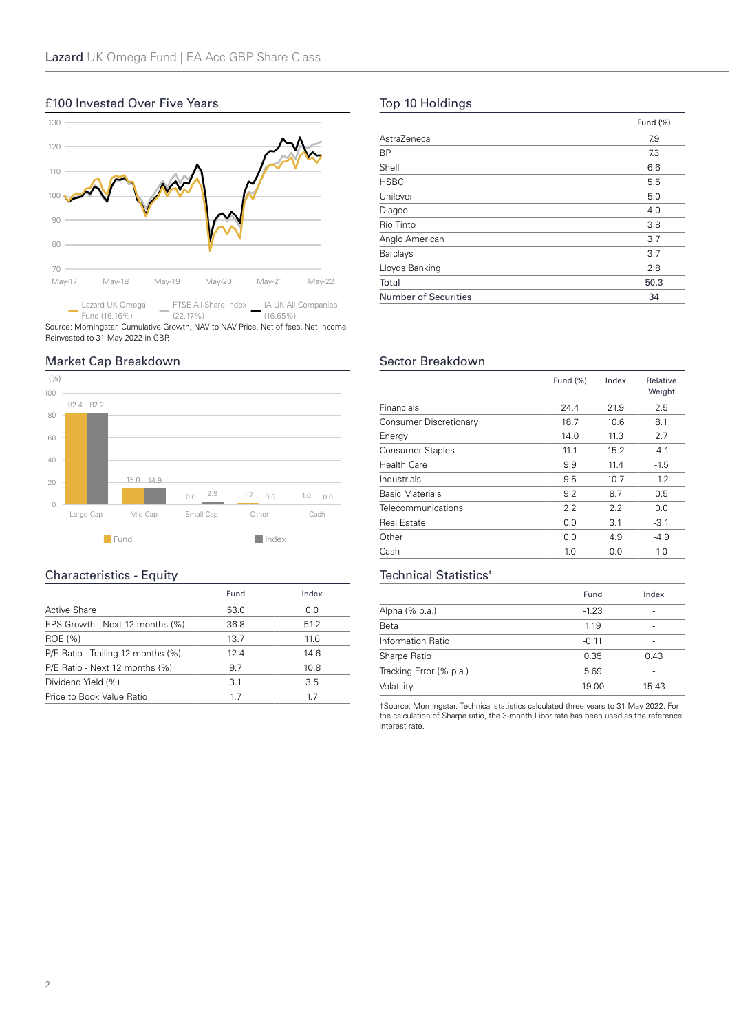## £100 Invested Over Five Years



Source: Morningstar, Cumulative Growth, NAV to NAV Price, Net of fees, Net Income Reinvested to 31 May 2022 in GBP.

## Market Cap Breakdown



## Characteristics - Equity

|                                    | Fund | Index |
|------------------------------------|------|-------|
| Active Share                       | 53.0 | 0.0   |
| EPS Growth - Next 12 months (%)    | 36.8 | 51.2  |
| ROE (%)                            | 13.7 | 11.6  |
| P/E Ratio - Trailing 12 months (%) | 12.4 | 14.6  |
| P/E Ratio - Next 12 months (%)     | 9.7  | 10.8  |
| Dividend Yield (%)                 | 3.1  | 3.5   |
| Price to Book Value Ratio          | 17   | 17    |

# Top 10 Holdings

| AstraZeneca<br>7.9<br><b>BP</b><br>7.3<br>Shell<br>6.6<br><b>HSBC</b><br>5.5<br>Unilever<br>5.0<br>4.0<br>Diageo<br>Rio Tinto<br>3.8<br>Anglo American<br>3.7<br>Barclays<br>3.7<br>Lloyds Banking<br>2.8<br>Total<br>50.3<br><b>Number of Securities</b><br>34 | Fund (%) |
|-----------------------------------------------------------------------------------------------------------------------------------------------------------------------------------------------------------------------------------------------------------------|----------|
|                                                                                                                                                                                                                                                                 |          |
|                                                                                                                                                                                                                                                                 |          |
|                                                                                                                                                                                                                                                                 |          |
|                                                                                                                                                                                                                                                                 |          |
|                                                                                                                                                                                                                                                                 |          |
|                                                                                                                                                                                                                                                                 |          |
|                                                                                                                                                                                                                                                                 |          |
|                                                                                                                                                                                                                                                                 |          |
|                                                                                                                                                                                                                                                                 |          |
|                                                                                                                                                                                                                                                                 |          |
|                                                                                                                                                                                                                                                                 |          |
|                                                                                                                                                                                                                                                                 |          |

## Sector Breakdown

|                         | Fund $(\%)$ | Index | Relative<br>Weight |
|-------------------------|-------------|-------|--------------------|
| Financials              | 24.4        | 21.9  | 2.5                |
| Consumer Discretionary  | 18.7        | 10.6  | 8.1                |
| Energy                  | 14.0        | 11.3  | 2.7                |
| <b>Consumer Staples</b> | 11.1        | 15.2  | $-4.1$             |
| <b>Health Care</b>      | 9.9         | 11.4  | $-1.5$             |
| Industrials             | 9.5         | 10.7  | $-1.2$             |
| <b>Basic Materials</b>  | 9.2         | 8.7   | 0.5                |
| Telecommunications      | 2.2         | 2.2   | 0.0                |
| <b>Real Estate</b>      | 0.0         | 3.1   | $-3.1$             |
| Other                   | 0.0         | 4.9   | $-4.9$             |
| Cash                    | 1.0         | 0.0   | 1.0                |

## Technical Statistics<sup>#</sup>

|                         | Fund    | Index |
|-------------------------|---------|-------|
| Alpha (% p.a.)          | $-1.23$ |       |
| Beta                    | 1.19    |       |
| Information Ratio       | $-0.11$ |       |
| Sharpe Ratio            | 0.35    | 0.43  |
| Tracking Error (% p.a.) | 5.69    |       |
| Volatility              | 19.00   | 15.43 |

‡Source: Morningstar. Technical statistics calculated three years to 31 May 2022. For the calculation of Sharpe ratio, the 3-month Libor rate has been used as the reference interest rate.

2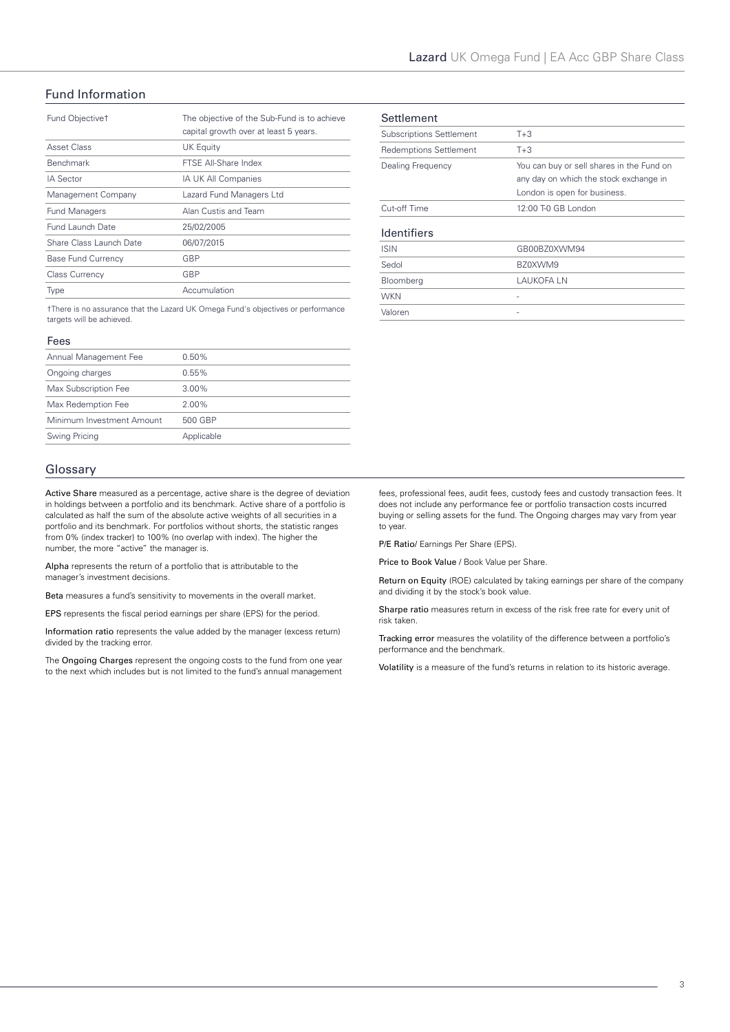# Fund Information

| Fund Objective <sup>+</sup> | The objective of the Sub-Fund is to achieve<br>capital growth over at least 5 years. |
|-----------------------------|--------------------------------------------------------------------------------------|
| Asset Class                 | <b>UK Equity</b>                                                                     |
| <b>Benchmark</b>            | FTSE All-Share Index                                                                 |
| <b>IA Sector</b>            | IA UK All Companies                                                                  |
| Management Company          | Lazard Fund Managers Ltd                                                             |
| <b>Fund Managers</b>        | Alan Custis and Team                                                                 |
| Fund Launch Date            | 25/02/2005                                                                           |
| Share Class Launch Date     | 06/07/2015                                                                           |
| <b>Base Fund Currency</b>   | GBP                                                                                  |
| <b>Class Currency</b>       | GBP                                                                                  |
| Type                        | Accumulation                                                                         |

†There is no assurance that the Lazard UK Omega Fund's objectives or performance targets will be achieved.

#### Fees

| Annual Management Fee     | $0.50\%$   |
|---------------------------|------------|
| Ongoing charges           | 0.55%      |
| Max Subscription Fee      | $3.00\%$   |
| Max Redemption Fee        | $2.00\%$   |
| Minimum Investment Amount | 500 GBP    |
| Swing Pricing             | Applicable |
|                           |            |

#### Glossary

Active Share measured as a percentage, active share is the degree of deviation in holdings between a portfolio and its benchmark. Active share of a portfolio is calculated as half the sum of the absolute active weights of all securities in a portfolio and its benchmark. For portfolios without shorts, the statistic ranges from 0% (index tracker) to 100% (no overlap with index). The higher the number, the more "active" the manager is.

Alpha represents the return of a portfolio that is attributable to the manager's investment decisions.

Beta measures a fund's sensitivity to movements in the overall market.

EPS represents the fiscal period earnings per share (EPS) for the period.

Information ratio represents the value added by the manager (excess return) divided by the tracking error.

The Ongoing Charges represent the ongoing costs to the fund from one year to the next which includes but is not limited to the fund's annual management

| Settlement                      |                                                                                                                     |
|---------------------------------|---------------------------------------------------------------------------------------------------------------------|
| <b>Subscriptions Settlement</b> | $T + 3$                                                                                                             |
| Redemptions Settlement          | $T+3$                                                                                                               |
| Dealing Frequency               | You can buy or sell shares in the Fund on<br>any day on which the stock exchange in<br>London is open for business. |
| Cut-off Time                    | 12:00 T-0 GB London                                                                                                 |
| <b>Identifiers</b>              |                                                                                                                     |
| <b>ISIN</b>                     | GB00BZ0XWM94                                                                                                        |
| Sedol                           | BZ0XWM9                                                                                                             |
| Bloomberg                       | LAUKOFA LN                                                                                                          |
| <b>WKN</b>                      |                                                                                                                     |
| Valoren                         |                                                                                                                     |

fees, professional fees, audit fees, custody fees and custody transaction fees. It does not include any performance fee or portfolio transaction costs incurred buying or selling assets for the fund. The Ongoing charges may vary from year to year.

P/E Ratio/ Earnings Per Share (EPS).

Price to Book Value / Book Value per Share.

Return on Equity (ROE) calculated by taking earnings per share of the company and dividing it by the stock's book value.

Sharpe ratio measures return in excess of the risk free rate for every unit of risk taken.

Tracking error measures the volatility of the difference between a portfolio's performance and the benchmark.

Volatility is a measure of the fund's returns in relation to its historic average.